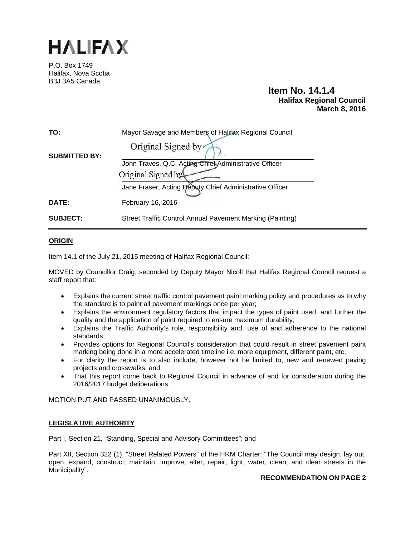

P.O. Box 1749 Halifax, Nova Scotia B3J 3A5 Canada

# **Item No. 14.1.4 Halifax Regional Council March 8, 2016**

| TO:                  | Mayor Savage and Members of Halifax Regional Council      |
|----------------------|-----------------------------------------------------------|
| <b>SUBMITTED BY:</b> | Original Signed by                                        |
|                      | John Traves, Q.C. Acting Chief Administrative Officer     |
|                      | Original Signed by                                        |
|                      | Jane Fraser, Acting Deputy Chief Administrative Officer   |
| DATE:                | February 16, 2016                                         |
| <b>SUBJECT:</b>      | Street Traffic Control Annual Pavement Marking (Painting) |

## **ORIGIN**

Item 14.1 of the July 21, 2015 meeting of Halifax Regional Council:

MOVED by Councillor Craig, seconded by Deputy Mayor Nicoll that Halifax Regional Council request a staff report that:

- Explains the current street traffic control pavement paint marking policy and procedures as to why the standard is to paint all pavement markings once per year;
- Explains the environment regulatory factors that impact the types of paint used, and further the quality and the application of paint required to ensure maximum durability;
- Explains the Traffic Authority's role, responsibility and, use of and adherence to the national standards;
- Provides options for Regional Council's consideration that could result in street pavement paint marking being done in a more accelerated timeline i.e. more equipment, different paint, etc;
- For clarity the report is to also include, however not be limited to, new and renewed paving projects and crosswalks; and,
- That this report come back to Regional Council in advance of and for consideration during the 2016/2017 budget deliberations.

MOTION PUT AND PASSED UNANIMOUSLY.

### **LEGISLATIVE AUTHORITY**

Part I, Section 21, "Standing, Special and Advisory Committees"; and

Part XII, Section 322 (1), "Street Related Powers" of the HRM Charter: "The Council may design, lay out, open, expand, construct, maintain, improve, alter, repair, light, water, clean, and clear streets in the Municipality".

## **RECOMMENDATION ON PAGE 2**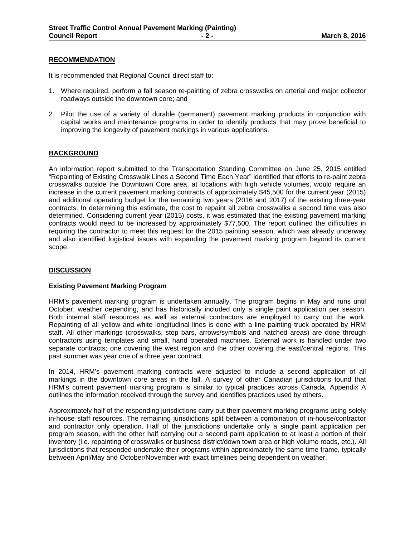#### **RECOMMENDATION**

It is recommended that Regional Council direct staff to:

- 1. Where required, perform a fall season re-painting of zebra crosswalks on arterial and major collector roadways outside the downtown core; and
- 2. Pilot the use of a variety of durable (permanent) pavement marking products in conjunction with capital works and maintenance programs in order to identify products that may prove beneficial to improving the longevity of pavement markings in various applications.

### **BACKGROUND**

An information report submitted to the Transportation Standing Committee on June 25, 2015 entitled "Repainting of Existing Crosswalk Lines a Second Time Each Year" identified that efforts to re-paint zebra crosswalks outside the Downtown Core area, at locations with high vehicle volumes, would require an increase in the current pavement marking contracts of approximately \$45,500 for the current year (2015) and additional operating budget for the remaining two years (2016 and 2017) of the existing three-year contracts. In determining this estimate, the cost to repaint all zebra crosswalks a second time was also determined. Considering current year (2015) costs, it was estimated that the existing pavement marking contracts would need to be increased by approximately \$77,500. The report outlined the difficulties in requiring the contractor to meet this request for the 2015 painting season, which was already underway and also identified logistical issues with expanding the pavement marking program beyond its current scope.

### **DISCUSSION**

#### **Existing Pavement Marking Program**

HRM's pavement marking program is undertaken annually. The program begins in May and runs until October, weather depending, and has historically included only a single paint application per season. Both internal staff resources as well as external contractors are employed to carry out the work. Repainting of all yellow and white longitudinal lines is done with a line painting truck operated by HRM staff. All other markings (crosswalks, stop bars, arrows/symbols and hatched areas) are done through contractors using templates and small, hand operated machines. External work is handled under two separate contracts; one covering the west region and the other covering the east/central regions. This past summer was year one of a three year contract.

In 2014, HRM's pavement marking contracts were adjusted to include a second application of all markings in the downtown core areas in the fall. A survey of other Canadian jurisdictions found that HRM's current pavement marking program is similar to typical practices across Canada. Appendix A outlines the information received through the survey and identifies practices used by others.

Approximately half of the responding jurisdictions carry out their pavement marking programs using solely in-house staff resources. The remaining jurisdictions split between a combination of in-house/contractor and contractor only operation. Half of the jurisdictions undertake only a single paint application per program season, with the other half carrying out a second paint application to at least a portion of their inventory (i.e. repainting of crosswalks or business district/down town area or high volume roads, etc.). All jurisdictions that responded undertake their programs within approximately the same time frame, typically between April/May and October/November with exact timelines being dependent on weather.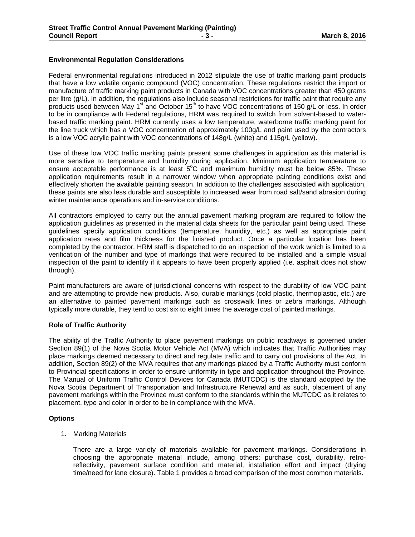## **Environmental Regulation Considerations**

Federal environmental regulations introduced in 2012 stipulate the use of traffic marking paint products that have a low volatile organic compound (VOC) concentration. These regulations restrict the import or manufacture of traffic marking paint products in Canada with VOC concentrations greater than 450 grams per litre (g/L). In addition, the regulations also include seasonal restrictions for traffic paint that require any products used between May 1<sup>st</sup> and October 15<sup>th</sup> to have VOC concentrations of 150 g/L or less. In order to be in compliance with Federal regulations, HRM was required to switch from solvent-based to waterbased traffic marking paint. HRM currently uses a low temperature, waterborne traffic marking paint for the line truck which has a VOC concentration of approximately 100g/L and paint used by the contractors is a low VOC acrylic paint with VOC concentrations of 148g/L (white) and 115g/L (yellow).

Use of these low VOC traffic marking paints present some challenges in application as this material is more sensitive to temperature and humidity during application. Minimum application temperature to ensure acceptable performance is at least  $5^{\circ}$ C and maximum humidity must be below 85%. These application requirements result in a narrower window when appropriate painting conditions exist and effectively shorten the available painting season. In addition to the challenges associated with application, these paints are also less durable and susceptible to increased wear from road salt/sand abrasion during winter maintenance operations and in-service conditions.

All contractors employed to carry out the annual pavement marking program are required to follow the application guidelines as presented in the material data sheets for the particular paint being used. These guidelines specify application conditions (temperature, humidity, etc.) as well as appropriate paint application rates and film thickness for the finished product. Once a particular location has been completed by the contractor, HRM staff is dispatched to do an inspection of the work which is limited to a verification of the number and type of markings that were required to be installed and a simple visual inspection of the paint to identify if it appears to have been properly applied (i.e. asphalt does not show through).

Paint manufacturers are aware of jurisdictional concerns with respect to the durability of low VOC paint and are attempting to provide new products. Also, durable markings (cold plastic, thermoplastic, etc.) are an alternative to painted pavement markings such as crosswalk lines or zebra markings. Although typically more durable, they tend to cost six to eight times the average cost of painted markings.

### **Role of Traffic Authority**

The ability of the Traffic Authority to place pavement markings on public roadways is governed under Section 89(1) of the Nova Scotia Motor Vehicle Act (MVA) which indicates that Traffic Authorities may place markings deemed necessary to direct and regulate traffic and to carry out provisions of the Act. In addition, Section 89(2) of the MVA requires that any markings placed by a Traffic Authority must conform to Provincial specifications in order to ensure uniformity in type and application throughout the Province. The Manual of Uniform Traffic Control Devices for Canada (MUTCDC) is the standard adopted by the Nova Scotia Department of Transportation and Infrastructure Renewal and as such, placement of any pavement markings within the Province must conform to the standards within the MUTCDC as it relates to placement, type and color in order to be in compliance with the MVA.

## **Options**

1. Marking Materials

There are a large variety of materials available for pavement markings. Considerations in choosing the appropriate material include, among others: purchase cost, durability, retroreflectivity, pavement surface condition and material, installation effort and impact (drying time/need for lane closure). Table 1 provides a broad comparison of the most common materials.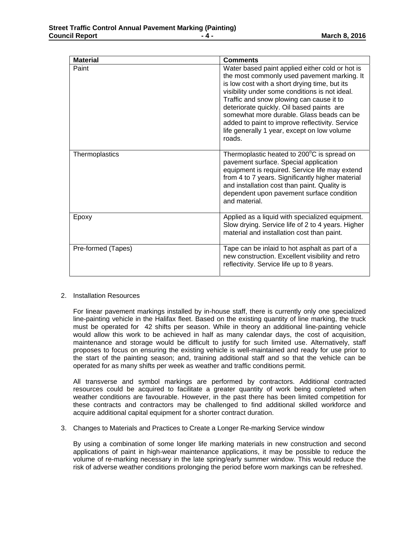| <b>Material</b>    | <b>Comments</b>                                                                                                                                                                                                                                                                                                                                                                                                                                     |
|--------------------|-----------------------------------------------------------------------------------------------------------------------------------------------------------------------------------------------------------------------------------------------------------------------------------------------------------------------------------------------------------------------------------------------------------------------------------------------------|
| Paint              | Water based paint applied either cold or hot is<br>the most commonly used pavement marking. It<br>is low cost with a short drying time, but its<br>visibility under some conditions is not ideal.<br>Traffic and snow plowing can cause it to<br>deteriorate quickly. Oil based paints are<br>somewhat more durable. Glass beads can be<br>added to paint to improve reflectivity. Service<br>life generally 1 year, except on low volume<br>roads. |
| Thermoplastics     | Thermoplastic heated to 200°C is spread on<br>pavement surface. Special application<br>equipment is required. Service life may extend<br>from 4 to 7 years. Significantly higher material<br>and installation cost than paint. Quality is<br>dependent upon pavement surface condition<br>and material.                                                                                                                                             |
| Epoxy              | Applied as a liquid with specialized equipment.<br>Slow drying. Service life of 2 to 4 years. Higher<br>material and installation cost than paint.                                                                                                                                                                                                                                                                                                  |
| Pre-formed (Tapes) | Tape can be inlaid to hot asphalt as part of a<br>new construction. Excellent visibility and retro<br>reflectivity. Service life up to 8 years.                                                                                                                                                                                                                                                                                                     |

#### 2. Installation Resources

For linear pavement markings installed by in-house staff, there is currently only one specialized line-painting vehicle in the Halifax fleet. Based on the existing quantity of line marking, the truck must be operated for 42 shifts per season. While in theory an additional line-painting vehicle would allow this work to be achieved in half as many calendar days, the cost of acquisition, maintenance and storage would be difficult to justify for such limited use. Alternatively, staff proposes to focus on ensuring the existing vehicle is well-maintained and ready for use prior to the start of the painting season; and, training additional staff and so that the vehicle can be operated for as many shifts per week as weather and traffic conditions permit.

All transverse and symbol markings are performed by contractors. Additional contracted resources could be acquired to facilitate a greater quantity of work being completed when weather conditions are favourable. However, in the past there has been limited competition for these contracts and contractors may be challenged to find additional skilled workforce and acquire additional capital equipment for a shorter contract duration.

3. Changes to Materials and Practices to Create a Longer Re-marking Service window

By using a combination of some longer life marking materials in new construction and second applications of paint in high-wear maintenance applications, it may be possible to reduce the volume of re-marking necessary in the late spring/early summer window. This would reduce the risk of adverse weather conditions prolonging the period before worn markings can be refreshed.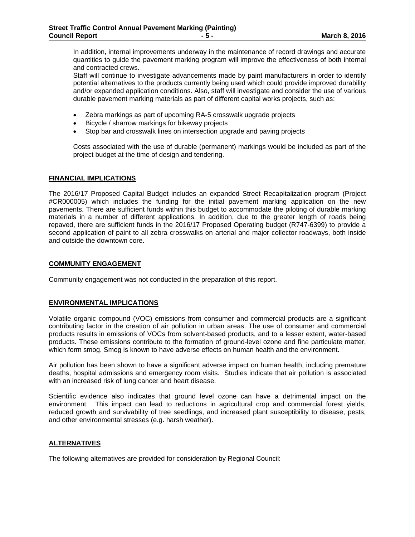In addition, internal improvements underway in the maintenance of record drawings and accurate quantities to guide the pavement marking program will improve the effectiveness of both internal and contracted crews.

Staff will continue to investigate advancements made by paint manufacturers in order to identify potential alternatives to the products currently being used which could provide improved durability and/or expanded application conditions. Also, staff will investigate and consider the use of various durable pavement marking materials as part of different capital works projects, such as:

- Zebra markings as part of upcoming RA-5 crosswalk upgrade projects
- Bicycle / sharrow markings for bikeway projects
- Stop bar and crosswalk lines on intersection upgrade and paving projects

Costs associated with the use of durable (permanent) markings would be included as part of the project budget at the time of design and tendering.

#### **FINANCIAL IMPLICATIONS**

The 2016/17 Proposed Capital Budget includes an expanded Street Recapitalization program (Project #CR000005) which includes the funding for the initial pavement marking application on the new pavements. There are sufficient funds within this budget to accommodate the piloting of durable marking materials in a number of different applications. In addition, due to the greater length of roads being repaved, there are sufficient funds in the 2016/17 Proposed Operating budget (R747-6399) to provide a second application of paint to all zebra crosswalks on arterial and major collector roadways, both inside and outside the downtown core.

#### **COMMUNITY ENGAGEMENT**

Community engagement was not conducted in the preparation of this report.

### **ENVIRONMENTAL IMPLICATIONS**

Volatile organic compound (VOC) emissions from consumer and commercial products are a significant contributing factor in the creation of air pollution in urban areas. The use of consumer and commercial products results in emissions of VOCs from solvent-based products, and to a lesser extent, water-based products. These emissions contribute to the formation of ground-level ozone and fine particulate matter, which form smog. Smog is known to have adverse effects on human health and the environment.

Air pollution has been shown to have a significant adverse impact on human health, including premature deaths, hospital admissions and emergency room visits. Studies indicate that air pollution is associated with an increased risk of lung cancer and heart disease.

Scientific evidence also indicates that ground level ozone can have a detrimental impact on the environment. This impact can lead to reductions in agricultural crop and commercial forest yields, reduced growth and survivability of tree seedlings, and increased plant susceptibility to disease, pests, and other environmental stresses (e.g. harsh weather).

### **ALTERNATIVES**

The following alternatives are provided for consideration by Regional Council: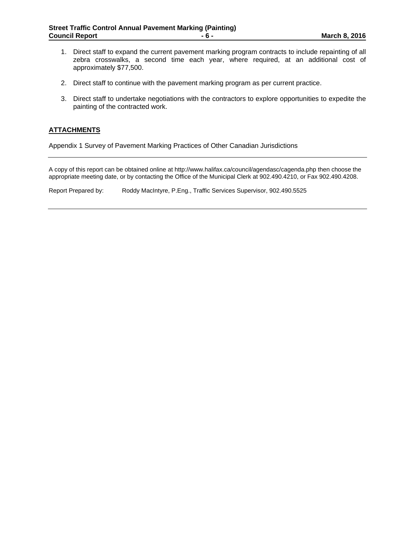- 1. Direct staff to expand the current pavement marking program contracts to include repainting of all zebra crosswalks, a second time each year, where required, at an additional cost of approximately \$77,500.
- 2. Direct staff to continue with the pavement marking program as per current practice.
- 3. Direct staff to undertake negotiations with the contractors to explore opportunities to expedite the painting of the contracted work.

### **ATTACHMENTS**

Appendix 1 Survey of Pavement Marking Practices of Other Canadian Jurisdictions

A copy of this report can be obtained online at http://www.halifax.ca/council/agendasc/cagenda.php then choose the appropriate meeting date, or by contacting the Office of the Municipal Clerk at 902.490.4210, or Fax 902.490.4208.

Report Prepared by: Roddy MacIntyre, P.Eng., Traffic Services Supervisor, 902.490.5525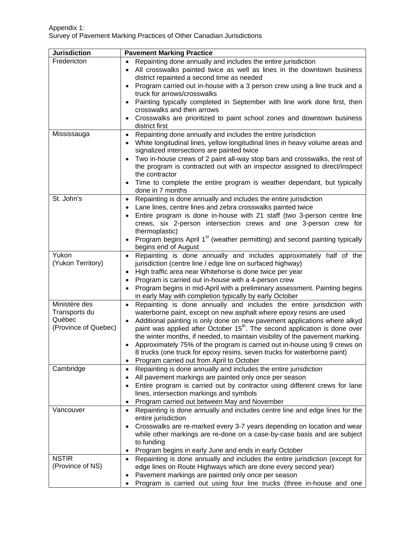| <b>Jurisdiction</b>                                              | <b>Pavement Marking Practice</b>                                                                                                                                                                                                                                                                                                                                                                                                                                                                                                                                                                                                                  |
|------------------------------------------------------------------|---------------------------------------------------------------------------------------------------------------------------------------------------------------------------------------------------------------------------------------------------------------------------------------------------------------------------------------------------------------------------------------------------------------------------------------------------------------------------------------------------------------------------------------------------------------------------------------------------------------------------------------------------|
| Fredericton                                                      | Repainting done annually and includes the entire jurisdiction<br>All crosswalks painted twice as well as lines in the downtown business<br>district repainted a second time as needed<br>Program carried out in-house with a 3 person crew using a line truck and a<br>truck for arrows/crosswalks<br>Painting typically completed in September with line work done first, then<br>$\bullet$<br>crosswalks and then arrows<br>Crosswalks are prioritized to paint school zones and downtown business<br>district first                                                                                                                            |
| Mississauga                                                      | Repainting done annually and includes the entire jurisdiction<br>$\bullet$<br>White longitudinal lines, yellow longitudinal lines in heavy volume areas and<br>signalized intersections are painted twice<br>Two in-house crews of 2 paint all-way stop bars and crosswalks, the rest of<br>the program is contracted out with an inspector assigned to direct/inspect<br>the contractor<br>Time to complete the entire program is weather dependant, but typically<br>done in 7 months                                                                                                                                                           |
| St. John's                                                       | Repainting is done annually and includes the entire jurisdiction<br>$\bullet$<br>Lane lines, centre lines and zebra crosswalks painted twice<br>Entire program is done in-house with 21 staff (two 3-person centre line<br>crews, six 2-person intersection crews and one 3-person crew for<br>thermoplastic)<br>Program begins April 1 <sup>st</sup> (weather permitting) and second painting typically<br>begins end of August                                                                                                                                                                                                                  |
| Yukon<br>(Yukon Territory)                                       | Repainting is done annually and includes approximately half of the<br>$\bullet$<br>jurisdiction (centre line / edge line on surfaced highway)<br>High traffic area near Whitehorse is done twice per year<br>$\bullet$<br>Program is carried out in-house with a 4-person crew<br>$\bullet$<br>Program begins in mid-April with a preliminary assessment. Painting begins<br>in early May with completion typically by early October                                                                                                                                                                                                              |
| Ministère des<br>Transports du<br>Québec<br>(Province of Quebec) | Repainting is done annually and includes the entire jurisdiction with<br>$\bullet$<br>waterborne paint, except on new asphalt where epoxy resins are used<br>Additional painting is only done on new pavement applications where alkyd<br>$\bullet$<br>paint was applied after October 15 <sup>th</sup> . The second application is done over<br>the winter months, if needed, to maintain visibility of the pavement marking.<br>Approximately 75% of the program is carried out in-house using 9 crews on<br>8 trucks (one truck for epoxy resins, seven trucks for waterborne paint)<br>Program carried out from April to October<br>$\bullet$ |
| Cambridge                                                        | Repainting is done annually and includes the entire jurisdiction<br>$\bullet$<br>All pavement markings are painted only once per season<br>$\bullet$<br>Entire program is carried out by contractor using different crews for lane<br>$\bullet$<br>lines, intersection markings and symbols<br>Program carried out between May and November<br>$\bullet$                                                                                                                                                                                                                                                                                          |
| Vancouver                                                        | Repainting is done annually and includes centre line and edge lines for the<br>$\bullet$<br>entire jurisdiction<br>Crosswalks are re-marked every 3-7 years depending on location and wear<br>$\bullet$<br>while other markings are re-done on a case-by-case basis and are subject<br>to funding<br>Program begins in early June and ends in early October<br>$\bullet$                                                                                                                                                                                                                                                                          |
| <b>NSTIR</b><br>(Province of NS)                                 | Repainting is done annually and includes the entire jurisdiction (except for<br>$\bullet$<br>edge lines on Route Highways which are done every second year)<br>Pavement markings are painted only once per season<br>٠<br>Program is carried out using four line trucks (three in-house and one<br>$\bullet$                                                                                                                                                                                                                                                                                                                                      |